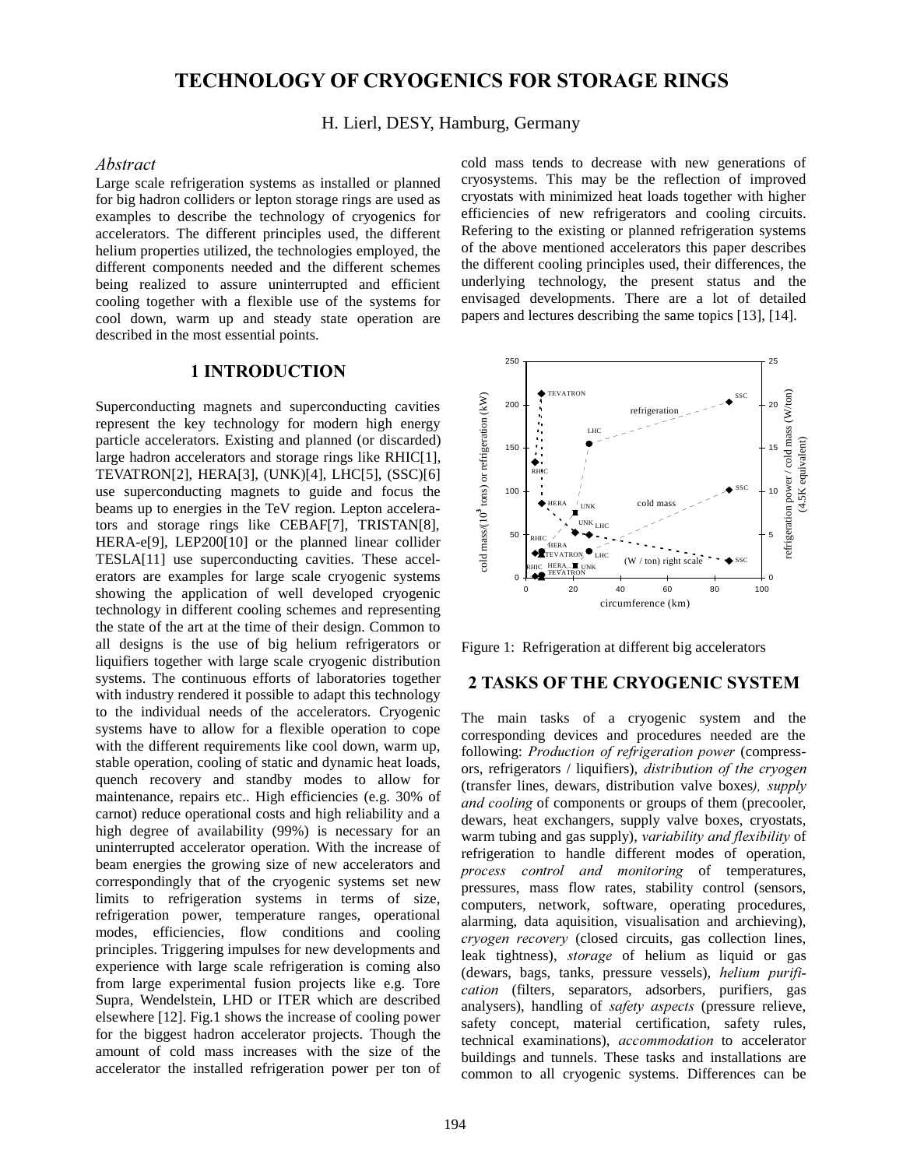# **TECHNOLOGY OF CRYOGENICS FOR STORAGE RINGS**

#### H. Lierl, DESY, Hamburg, Germany

### Abstract

Large scale refrigeration systems as installed or planned for big hadron colliders or lepton storage rings are used as examples to describe the technology of cryogenics for accelerators. The different principles used, the different helium properties utilized, the technologies employed, the different components needed and the different schemes being realized to assure uninterrupted and efficient cooling together with a flexible use of the systems for cool down, warm up and steady state operation are described in the most essential points.

### 1 INTRODUCTION

Superconducting magnets and superconducting cavities represent the key technology for modern high energy particle accelerators. Existing and planned (or discarded) large hadron accelerators and storage rings like RHIC[1], TEVATRON[2], HERA[3], (UNK)[4], LHC[5], (SSC)[6] use superconducting magnets to guide and focus the beams up to energies in the TeV region. Lepton accelerators and storage rings like CEBAF[7], TRISTAN[8], HERA-e[9], LEP200[10] or the planned linear collider TESLA[11] use superconducting cavities. These accelerators are examples for large scale cryogenic systems showing the application of well developed cryogenic technology in different cooling schemes and representing the state of the art at the time of their design. Common to all designs is the use of big helium refrigerators or liquifiers together with large scale cryogenic distribution systems. The continuous efforts of laboratories together with industry rendered it possible to adapt this technology to the individual needs of the accelerators. Cryogenic systems have to allow for a flexible operation to cope with the different requirements like cool down, warm up, stable operation, cooling of static and dynamic heat loads, quench recovery and standby modes to allow for maintenance, repairs etc.. High efficiencies (e.g. 30% of carnot) reduce operational costs and high reliability and a high degree of availability (99%) is necessary for an uninterrupted accelerator operation. With the increase of beam energies the growing size of new accelerators and correspondingly that of the cryogenic systems set new limits to refrigeration systems in terms of size, refrigeration power, temperature ranges, operational modes, efficiencies, flow conditions and cooling principles. Triggering impulses for new developments and experience with large scale refrigeration is coming also from large experimental fusion projects like e.g. Tore Supra, Wendelstein, LHD or ITER which are described elsewhere [12]. Fig.1 shows the increase of cooling power for the biggest hadron accelerator projects. Though the amount of cold mass increases with the size of the accelerator the installed refrigeration power per ton of cold mass tends to decrease with new generations of cryosystems. This may be the reflection of improved cryostats with minimized heat loads together with higher efficiencies of new refrigerators and cooling circuits. Refering to the existing or planned refrigeration systems of the above mentioned accelerators this paper describes the different cooling principles used, their differences, the underlying technology, the present status and the envisaged developments. There are a lot of detailed papers and lectures describing the same topics [13], [14].



Figure 1: Refrigeration at different big accelerators

# 2 TASKS OF THE CRYOGENIC SYSTEM

The main tasks of a cryogenic system and the corresponding devices and procedures needed are the following: Production of refrigeration power (compressors, refrigerators / liquifiers), distribution of the cryogen  $(transfer lines, dewars, distribution value boxes), supply$ and cooling of components or groups of them (precooler, dewars, heat exchangers, supply valve boxes, cryostats, warm tubing and gas supply), variability and flexibility of refrigeration to handle different modes of operation, process control and monitoring of temperatures, pressures, mass flow rates, stability control (sensors, computers, network, software, operating procedures, alarming, data aquisition, visualisation and archieving),  $$ leak tightness), *storage* of helium as liquid or gas (dewars, bags, tanks, pressure vessels), helium purification (filters, separators, adsorbers, purifiers, gas analysers), handling of safety aspects (pressure relieve, safety concept, material certification, safety rules, technical examinations), *accommodation* to accelerator buildings and tunnels. These tasks and installations are common to all cryogenic systems. Differences can be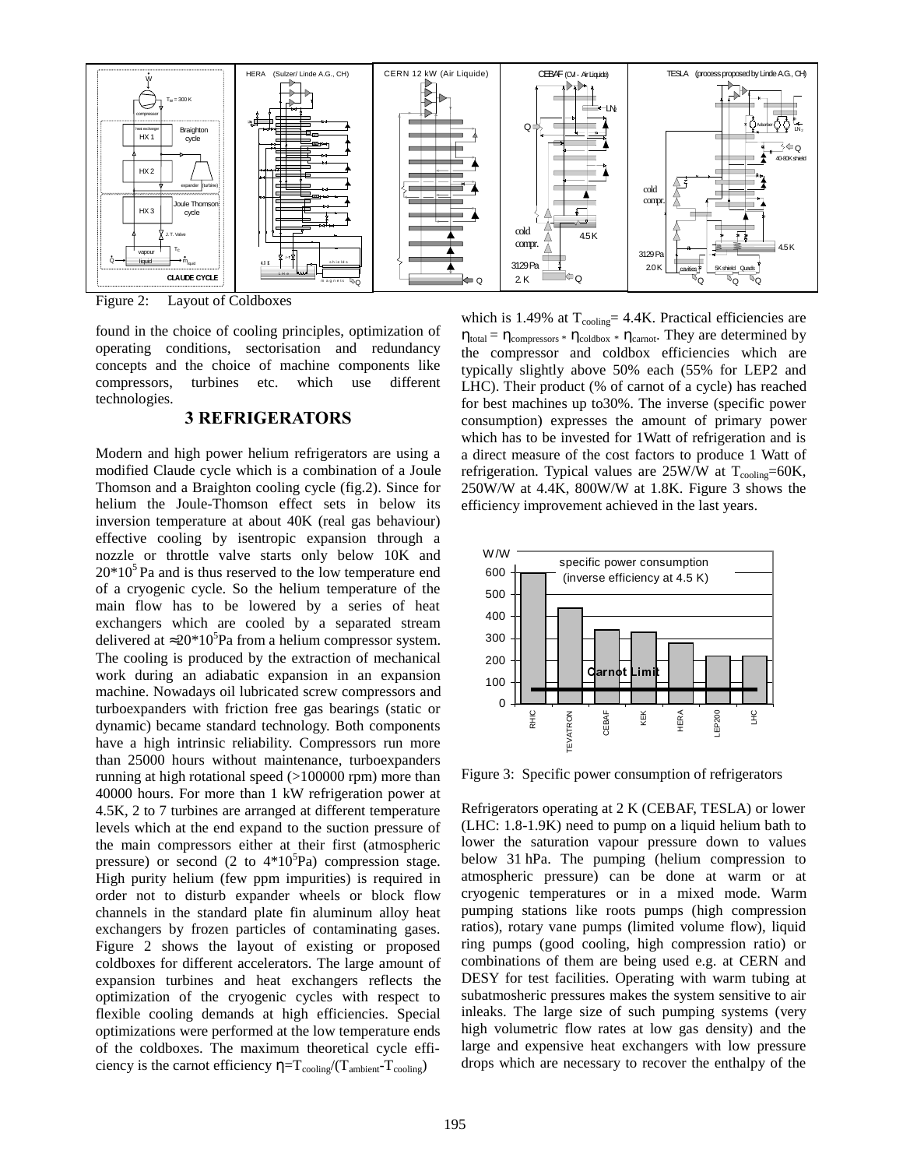

Figure 2: Layout of Coldboxes

found in the choice of cooling principles, optimization of operating conditions, sectorisation and redundancy concepts and the choice of machine components like compressors, turbines etc. which use different technologies.

### **3 REFRIGERATORS**

Modern and high power helium refrigerators are using a modified Claude cycle which is a combination of a Joule Thomson and a Braighton cooling cycle (fig.2). Since for helium the Joule-Thomson effect sets in below its inversion temperature at about 40K (real gas behaviour) effective cooling by isentropic expansion through a nozzle or throttle valve starts only below 10K and  $20*10<sup>5</sup>$  Pa and is thus reserved to the low temperature end of a cryogenic cycle. So the helium temperature of the main flow has to be lowered by a series of heat exchangers which are cooled by a separated stream delivered at  $\approx 20*10^5$ Pa from a helium compressor system. The cooling is produced by the extraction of mechanical work during an adiabatic expansion in an expansion machine. Nowadays oil lubricated screw compressors and turboexpanders with friction free gas bearings (static or dynamic) became standard technology. Both components have a high intrinsic reliability. Compressors run more than 25000 hours without maintenance, turboexpanders running at high rotational speed (>100000 rpm) more than 40000 hours. For more than 1 kW refrigeration power at 4.5K, 2 to 7 turbines are arranged at different temperature levels which at the end expand to the suction pressure of the main compressors either at their first (atmospheric pressure) or second  $(2 \text{ to } 4*10^5 \text{Pa})$  compression stage. High purity helium (few ppm impurities) is required in order not to disturb expander wheels or block flow channels in the standard plate fin aluminum alloy heat exchangers by frozen particles of contaminating gases. Figure 2 shows the layout of existing or proposed coldboxes for different accelerators. The large amount of expansion turbines and heat exchangers reflects the optimization of the cryogenic cycles with respect to flexible cooling demands at high efficiencies. Special optimizations were performed at the low temperature ends of the coldboxes. The maximum theoretical cycle efficiency is the carnot efficiency  $\eta = T_{\text{cooling}}/(T_{\text{ambient}}-T_{\text{cooling}})$ 

which is 1.49% at  $T_{\text{cooling}} = 4.4$ K. Practical efficiencies are  $η_{total} = η_{compressors} * η_{cold} * η_{carnot}$ . They are determined by the compressor and coldbox efficiencies which are typically slightly above 50% each (55% for LEP2 and LHC). Their product (% of carnot of a cycle) has reached for best machines up to30%. The inverse (specific power consumption) expresses the amount of primary power which has to be invested for 1Watt of refrigeration and is a direct measure of the cost factors to produce 1 Watt of refrigeration. Typical values are  $25W/W$  at  $T_{\text{cooline}} = 60K$ , 250W/W at 4.4K, 800W/W at 1.8K. Figure 3 shows the efficiency improvement achieved in the last years.



Figure 3: Specific power consumption of refrigerators

Refrigerators operating at 2 K (CEBAF, TESLA) or lower (LHC: 1.8-1.9K) need to pump on a liquid helium bath to lower the saturation vapour pressure down to values below 31 hPa. The pumping (helium compression to atmospheric pressure) can be done at warm or at cryogenic temperatures or in a mixed mode. Warm pumping stations like roots pumps (high compression ratios), rotary vane pumps (limited volume flow), liquid ring pumps (good cooling, high compression ratio) or combinations of them are being used e.g. at CERN and DESY for test facilities. Operating with warm tubing at subatmosheric pressures makes the system sensitive to air inleaks. The large size of such pumping systems (very high volumetric flow rates at low gas density) and the large and expensive heat exchangers with low pressure drops which are necessary to recover the enthalpy of the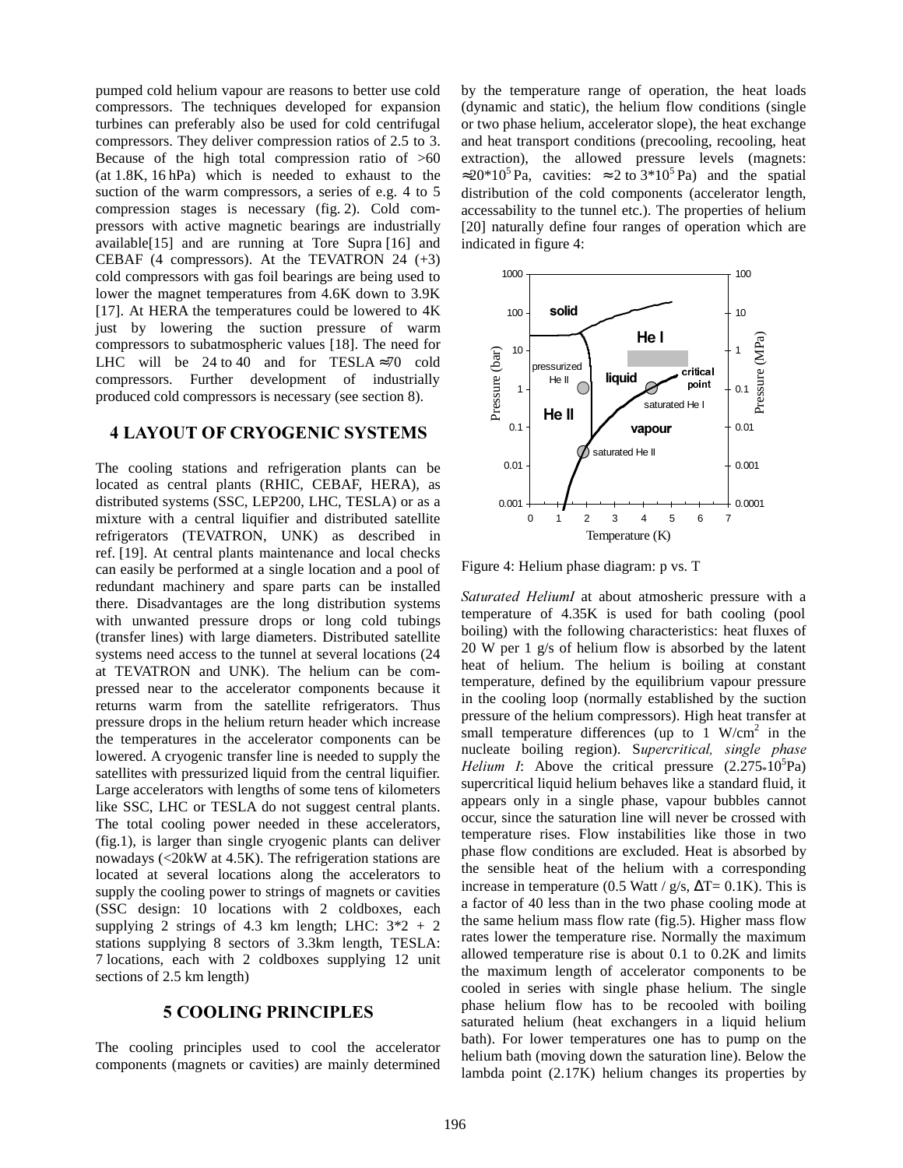pumped cold helium vapour are reasons to better use cold compressors. The techniques developed for expansion turbines can preferably also be used for cold centrifugal compressors. They deliver compression ratios of 2.5 to 3. Because of the high total compression ratio of  $>60$ (at 1.8K, 16 hPa) which is needed to exhaust to the suction of the warm compressors, a series of e.g. 4 to 5 compression stages is necessary (fig. 2). Cold compressors with active magnetic bearings are industrially available[15] and are running at Tore Supra [16] and CEBAF (4 compressors). At the TEVATRON 24  $(+3)$ cold compressors with gas foil bearings are being used to lower the magnet temperatures from 4.6K down to 3.9K [17]. At HERA the temperatures could be lowered to  $4K$ just by lowering the suction pressure of warm compressors to subatmospheric values [18]. The need for LHC will be 24 to 40 and for TESLA  $\approx$ 70 cold compressors. Further development of industrially produced cold compressors is necessary (see section 8).

### **4 LAYOUT OF CRYOGENIC SYSTEMS**

The cooling stations and refrigeration plants can be located as central plants (RHIC, CEBAF, HERA), as distributed systems (SSC, LEP200, LHC, TESLA) or as a mixture with a central liquifier and distributed satellite refrigerators (TEVATRON, UNK) as described in ref. [19]. At central plants maintenance and local checks can easily be performed at a single location and a pool of redundant machinery and spare parts can be installed there. Disadvantages are the long distribution systems with unwanted pressure drops or long cold tubings (transfer lines) with large diameters. Distributed satellite systems need access to the tunnel at several locations (24 at TEVATRON and UNK). The helium can be compressed near to the accelerator components because it returns warm from the satellite refrigerators. Thus pressure drops in the helium return header which increase the temperatures in the accelerator components can be lowered. A cryogenic transfer line is needed to supply the satellites with pressurized liquid from the central liquifier. Large accelerators with lengths of some tens of kilometers like SSC, LHC or TESLA do not suggest central plants. The total cooling power needed in these accelerators, (fig.1), is larger than single cryogenic plants can deliver nowadays (<20kW at 4.5K). The refrigeration stations are located at several locations along the accelerators to supply the cooling power to strings of magnets or cavities (SSC design: 10 locations with 2 coldboxes, each supplying 2 strings of 4.3 km length; LHC:  $3*2 + 2$ stations supplying 8 sectors of 3.3km length, TESLA: 7 locations, each with 2 coldboxes supplying 12 unit sections of 2.5 km length)

# 5 COOLING PRINCIPLES

The cooling principles used to cool the accelerator components (magnets or cavities) are mainly determined by the temperature range of operation, the heat loads (dynamic and static), the helium flow conditions (single or two phase helium, accelerator slope), the heat exchange and heat transport conditions (precooling, recooling, heat extraction), the allowed pressure levels (magnets:  $\approx 20*10^5$  Pa, cavities:  $\approx 2$  to 3\*10<sup>5</sup> Pa) and the spatial distribution of the cold components (accelerator length, accessability to the tunnel etc.). The properties of helium [20] naturally define four ranges of operation which are indicated in figure 4:



Figure 4: Helium phase diagram: p vs. T

Saturated HeliumI at about atmosheric pressure with a temperature of 4.35K is used for bath cooling (pool boiling) with the following characteristics: heat fluxes of 20 W per 1 g/s of helium flow is absorbed by the latent heat of helium. The helium is boiling at constant temperature, defined by the equilibrium vapour pressure in the cooling loop (normally established by the suction pressure of the helium compressors). High heat transfer at small temperature differences (up to  $1 \text{ W/cm}^2$  in the nucleate boiling region). Supercritical, single phase Helium I: Above the critical pressure  $(2.275*10<sup>5</sup>Pa)$ supercritical liquid helium behaves like a standard fluid, it appears only in a single phase, vapour bubbles cannot occur, since the saturation line will never be crossed with temperature rises. Flow instabilities like those in two phase flow conditions are excluded. Heat is absorbed by the sensible heat of the helium with a corresponding increase in temperature (0.5 Watt /  $g/s$ ,  $\Delta T = 0.1K$ ). This is a factor of 40 less than in the two phase cooling mode at the same helium mass flow rate (fig.5). Higher mass flow rates lower the temperature rise. Normally the maximum allowed temperature rise is about 0.1 to 0.2K and limits the maximum length of accelerator components to be cooled in series with single phase helium. The single phase helium flow has to be recooled with boiling saturated helium (heat exchangers in a liquid helium bath). For lower temperatures one has to pump on the helium bath (moving down the saturation line). Below the lambda point (2.17K) helium changes its properties by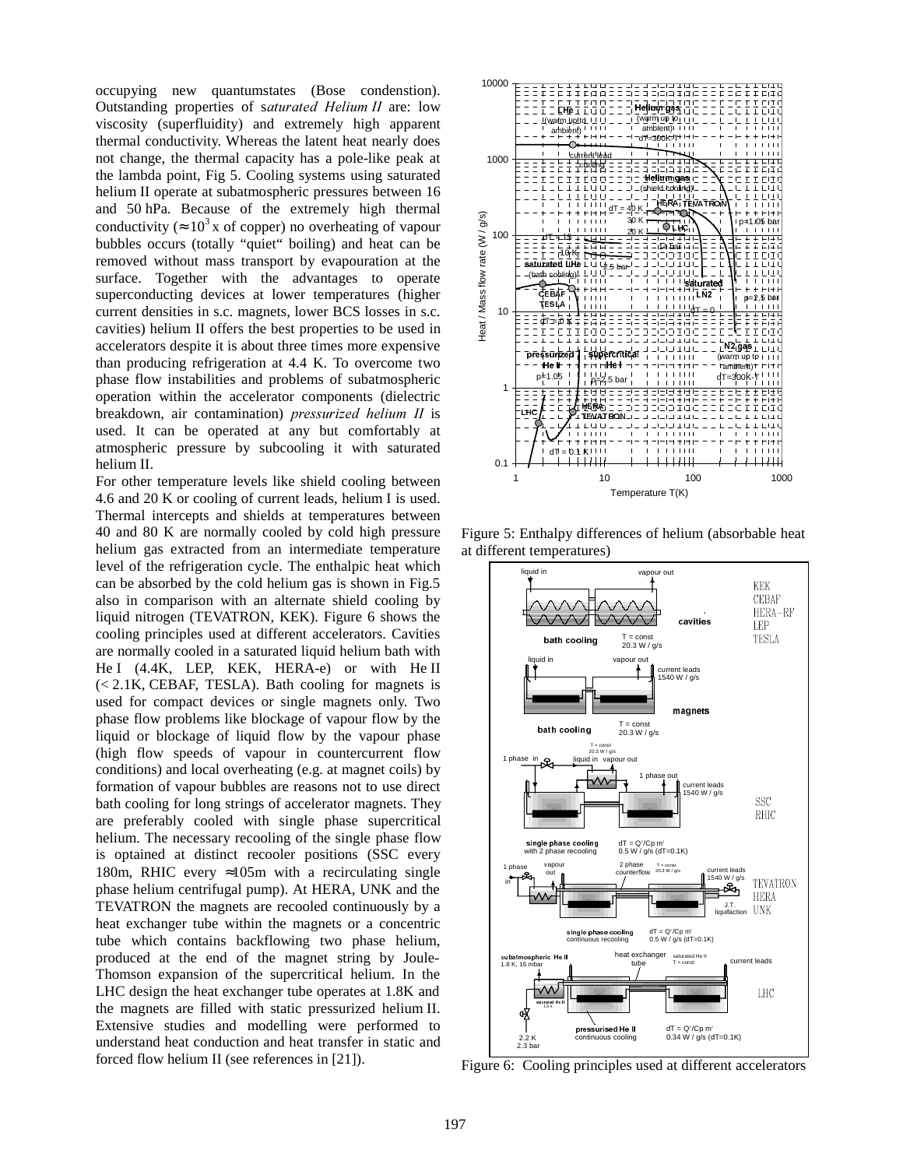occupying new quantumstates (Bose condenstion). Outstanding properties of saturated Helium II are: low viscosity (superfluidity) and extremely high apparent thermal conductivity. Whereas the latent heat nearly does not change, the thermal capacity has a pole-like peak at the lambda point, Fig 5. Cooling systems using saturated helium II operate at subatmospheric pressures between 16 and 50 hPa. Because of the extremely high thermal conductivity ( $\approx 10^3$  x of copper) no overheating of vapour bubbles occurs (totally "quiet" boiling) and heat can be removed without mass transport by evapouration at the surface. Together with the advantages to operate superconducting devices at lower temperatures (higher current densities in s.c. magnets, lower BCS losses in s.c. cavities) helium II offers the best properties to be used in accelerators despite it is about three times more expensive than producing refrigeration at 4.4 K. To overcome two phase flow instabilities and problems of subatmospheric operation within the accelerator components (dielectric breakdown, air contamination) pressurized helium II is used. It can be operated at any but comfortably at atmospheric pressure by subcooling it with saturated helium II.

For other temperature levels like shield cooling between 4.6 and 20 K or cooling of current leads, helium I is used. Thermal intercepts and shields at temperatures between 40 and 80 K are normally cooled by cold high pressure helium gas extracted from an intermediate temperature level of the refrigeration cycle. The enthalpic heat which can be absorbed by the cold helium gas is shown in Fig.5 also in comparison with an alternate shield cooling by liquid nitrogen (TEVATRON, KEK). Figure 6 shows the cooling principles used at different accelerators. Cavities are normally cooled in a saturated liquid helium bath with He I (4.4K, LEP, KEK, HERA-e) or with He II (< 2.1K, CEBAF, TESLA). Bath cooling for magnets is used for compact devices or single magnets only. Two phase flow problems like blockage of vapour flow by the liquid or blockage of liquid flow by the vapour phase (high flow speeds of vapour in countercurrent flow conditions) and local overheating (e.g. at magnet coils) by formation of vapour bubbles are reasons not to use direct bath cooling for long strings of accelerator magnets. They are preferably cooled with single phase supercritical helium. The necessary recooling of the single phase flow is optained at distinct recooler positions (SSC every 180m, RHIC every  $\approx 105$ m with a recirculating single phase helium centrifugal pump). At HERA, UNK and the TEVATRON the magnets are recooled continuously by a heat exchanger tube within the magnets or a concentric tube which contains backflowing two phase helium, produced at the end of the magnet string by Joule-Thomson expansion of the supercritical helium. In the LHC design the heat exchanger tube operates at 1.8K and the magnets are filled with static pressurized helium II. Extensive studies and modelling were performed to understand heat conduction and heat transfer in static and forced flow helium II (see references in [21]).



Figure 5: Enthalpy differences of helium (absorbable heat at different temperatures)



Figure 6: Cooling principles used at different accelerators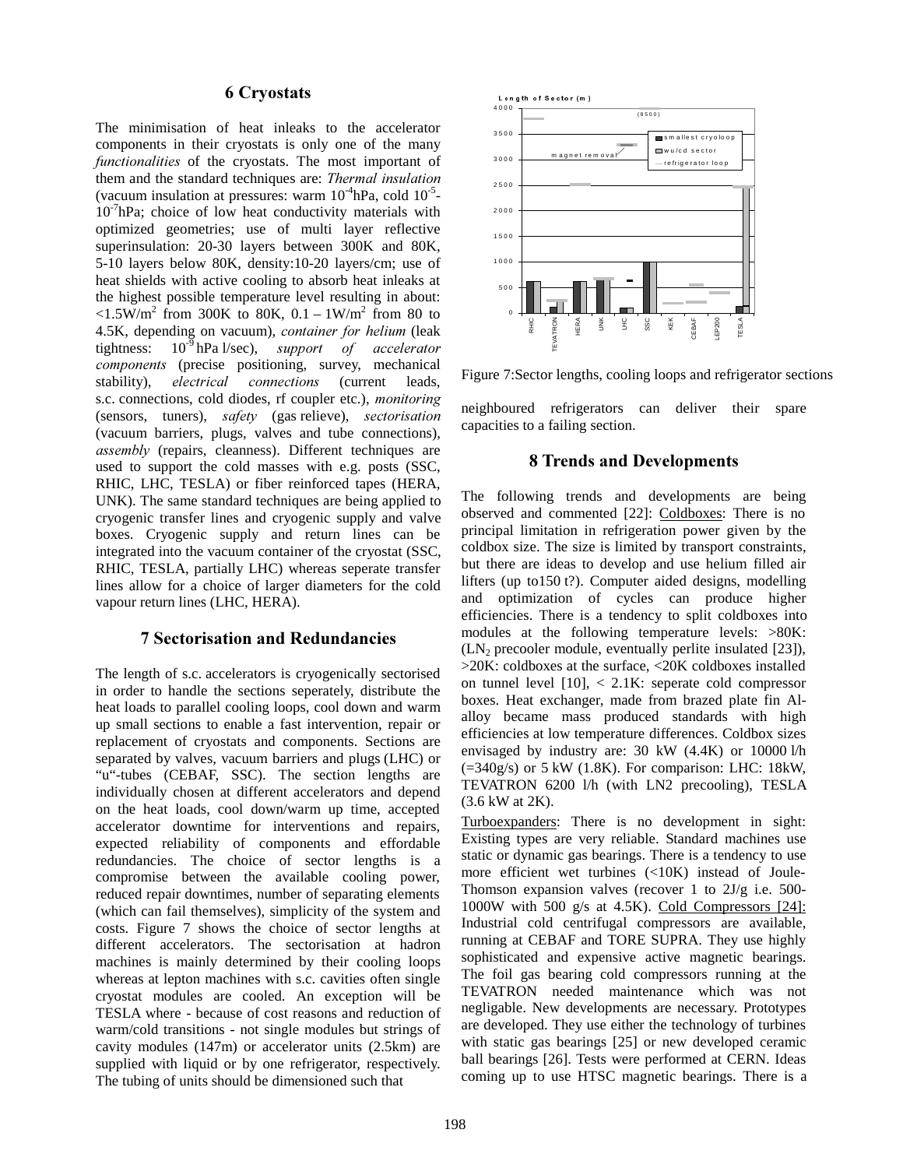### 6 Cryostats

The minimisation of heat inleaks to the accelerator components in their cryostats is only one of the many functionalities of the cryostats. The most important of them and the standard techniques are: Thermal insulation (vacuum insulation at pressures: warm  $10^{-4}$ hPa, cold  $10^{-5}$ - $10^{-7}$ hPa; choice of low heat conductivity materials with optimized geometries; use of multi layer reflective superinsulation: 20-30 layers between 300K and 80K, 5-10 layers below 80K, density:10-20 layers/cm; use of heat shields with active cooling to absorb heat inleaks at the highest possible temperature level resulting in about:  $\langle 1.5 \text{W/m}^2 \text{ from } 300 \text{K} \text{ to } 80 \text{K}, 0.1 - 1 \text{W/m}^2 \text{ from } 80 \text{ to } 80 \text{K} \rangle$ 4.5K, depending on vacuum), container for helium (leak tightness:  $10^{-9}$  hPa l/sec), support of accelerator components (precise positioning, survey, mechanical stability), electrical connections (current leads, s.c. connections, cold diodes, rf coupler etc.), *monitoring* (sensors, tuners),  $safety$  (gas relieve), sectorisation (vacuum barriers, plugs, valves and tube connections),  $assently$  (repairs, cleanness). Different techniques are used to support the cold masses with e.g. posts (SSC, RHIC, LHC, TESLA) or fiber reinforced tapes (HERA, UNK). The same standard techniques are being applied to cryogenic transfer lines and cryogenic supply and valve boxes. Cryogenic supply and return lines can be integrated into the vacuum container of the cryostat (SSC, RHIC, TESLA, partially LHC) whereas seperate transfer lines allow for a choice of larger diameters for the cold vapour return lines (LHC, HERA).

# **7 Sectorisation and Redundancies**

The length of s.c. accelerators is cryogenically sectorised in order to handle the sections seperately, distribute the heat loads to parallel cooling loops, cool down and warm up small sections to enable a fast intervention, repair or replacement of cryostats and components. Sections are separated by valves, vacuum barriers and plugs (LHC) or "u"-tubes (CEBAF, SSC). The section lengths are individually chosen at different accelerators and depend on the heat loads, cool down/warm up time, accepted accelerator downtime for interventions and repairs, expected reliability of components and effordable redundancies. The choice of sector lengths is a compromise between the available cooling power, reduced repair downtimes, number of separating elements (which can fail themselves), simplicity of the system and costs. Figure 7 shows the choice of sector lengths at different accelerators. The sectorisation at hadron machines is mainly determined by their cooling loops whereas at lepton machines with s.c. cavities often single cryostat modules are cooled. An exception will be TESLA where - because of cost reasons and reduction of warm/cold transitions - not single modules but strings of cavity modules (147m) or accelerator units (2.5km) are supplied with liquid or by one refrigerator, respectively. The tubing of units should be dimensioned such that



Figure 7:Sector lengths, cooling loops and refrigerator sections

neighboured refrigerators can deliver their spare capacities to a failing section.

### 8 Trends and Developments

The following trends and developments are being observed and commented [22]: Coldboxes: There is no principal limitation in refrigeration power given by the coldbox size. The size is limited by transport constraints, but there are ideas to develop and use helium filled air lifters (up to150 t?). Computer aided designs, modelling and optimization of cycles can produce higher efficiencies. There is a tendency to split coldboxes into modules at the following temperature levels: >80K:  $(LN<sub>2</sub>$  precooler module, eventually perlite insulated [23]), >20K: coldboxes at the surface, <20K coldboxes installed on tunnel level  $[10]$ ,  $\lt$  2.1K: seperate cold compressor boxes. Heat exchanger, made from brazed plate fin Alalloy became mass produced standards with high efficiencies at low temperature differences. Coldbox sizes envisaged by industry are: 30 kW (4.4K) or 10000 l/h  $(=340g/s)$  or 5 kW (1.8K). For comparison: LHC: 18kW, TEVATRON 6200 l/h (with LN2 precooling), TESLA (3.6 kW at 2K).

Turboexpanders: There is no development in sight: Existing types are very reliable. Standard machines use static or dynamic gas bearings. There is a tendency to use more efficient wet turbines (<10K) instead of Joule-Thomson expansion valves (recover 1 to 2J/g i.e. 500- 1000W with 500 g/s at 4.5K). Cold Compressors [24]: Industrial cold centrifugal compressors are available, running at CEBAF and TORE SUPRA. They use highly sophisticated and expensive active magnetic bearings. The foil gas bearing cold compressors running at the TEVATRON needed maintenance which was not negligable. New developments are necessary. Prototypes are developed. They use either the technology of turbines with static gas bearings [25] or new developed ceramic ball bearings [26]. Tests were performed at CERN. Ideas coming up to use HTSC magnetic bearings. There is a